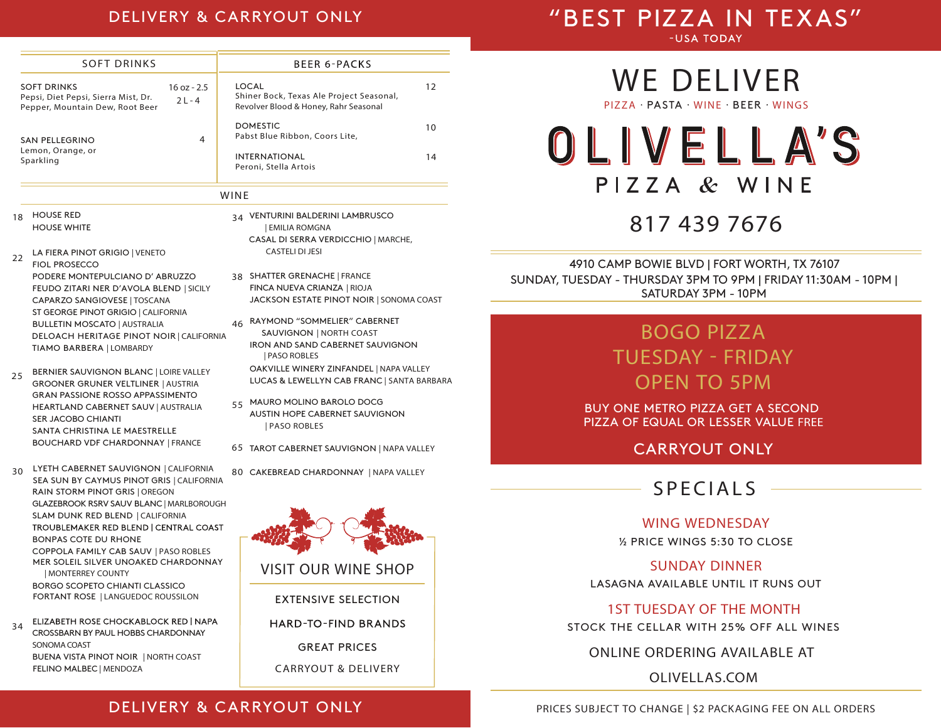#### DELIVERY & CARRYOUT ONLY

# "BEST PIZZA IN TEXAS"

-USA TODAY

| <b>SOFT DRINKS</b>                                                                           |                           | <b>BEER 6-PACKS</b>                                                                        |    |  |
|----------------------------------------------------------------------------------------------|---------------------------|--------------------------------------------------------------------------------------------|----|--|
| <b>SOFT DRINKS</b><br>Pepsi, Diet Pepsi, Sierra Mist, Dr.<br>Pepper, Mountain Dew, Root Beer | $16$ oz - 2.5<br>$21 - 4$ | LOCAL<br>Shiner Bock, Texas Ale Project Seasonal,<br>Revolver Blood & Honey, Rahr Seasonal | 12 |  |
| SAN PELLEGRINO                                                                               | 4                         | <b>DOMESTIC</b><br>Pabst Blue Ribbon, Coors Lite,                                          | 10 |  |
| Lemon, Orange, or<br>Sparkling                                                               |                           | <b>INTERNATIONAL</b><br>Peroni, Stella Artois                                              | 14 |  |

#### WINE

- HOUSE RED HOUSE WHITE 18
- LA FIERA PINOT GRIGIO | VENETO FIOL PROSECCO PODERE MONTEPULCIANO D' ABRUZZO FEUDO ZITARI NER D'AVOLA BLEND | SICILY CAPARZO SANGIOVESE | TOSCANA ST GEORGE PINOT GRIGIO | CALIFORNIA BULLETIN MOSCATO | AUSTRALIA DELOACH HERITAGE PINOT NOIR | CALIFORNIA TIAMO BARBERA | LOMBARDY 22
- BERNIER SAUVIGNON BLANC | LOIRE VALLEY GROONER GRUNER VELTLINER | AUSTRIA GRAN PASSIONE ROSSO APPASSIMENTO HEARTLAND CABERNET SAUV | AUSTRALIA SER JACOBO CHIANTI SANTA CHRISTINA LE MAESTRELLE BOUCHARD VDF CHARDONNAY | FRANCE 25
- LYETH CABERNET SAUVIGNON | CALIFORNIA 30 SEA SUN BY CAYMUS PINOT GRIS | CALIFORNIA RAIN STORM PINOT GRIS | OREGON GLAZEBROOK RSRV SAUV BLANC| MARLBOROUGH SLAM DUNK RED BLEND | CALIFORNIA TROUBLEMAKER RED BLEND | CENTRAL COAST BONPAS COTE DU RHONE COPPOLA FAMILY CAB SAUV | PASO ROBLES MER SOLEIL SILVER UNOAKED CHARDONNAY | MONTERREY COUNTY BORGO SCOPETO CHIANTI CLASSICO FORTANT ROSE | LANGUEDOC ROUSSILON
- ELIZABETH ROSE CHOCKABLOCK RED | NAPA 34 CROSSBARN BY PAUL HOBBS CHARDONNAY SONOMA COAST BUENA VISTA PINOT NOIR | NORTH COAST FELINO MALBEC | MENDOZA
- 34 VENTURINI BALDERINI LAMBRUSCO CASAL DI SERRA VERDICCHIO | MARCHE, CASTELI DI JESI | EMILIA ROMGNA
- 38 SHATTER GRENACHE | FRANCE FINCA NUEVA CRIANZA | RIOJA JACKSON ESTATE PINOT NOIR | SONOMA COAST
- <sub>46</sub> RAYMOND "SOMMELIER" CABERNET SAUVIGNON | NORTH COAST IRON AND SAND CABERNET SAUVIGNON | PASO ROBLES OAKVILLE WINERY ZINFANDEL | NAPA VALLEY LUCAS & LEWELLYN CAB FRANC | SANTA BARBARA
- MAURO MOLINO BAROLO DOCG 55 AUSTIN HOPE CABERNET SAUVIGNON | PASO ROBLES
- TAROT CABERNET SAUVIGNON | NAPA VALLEY 65
- 80 CAKEBREAD CHARDONNAY | NAPA VALLEY



# **WE DELIVER**

**PIZZA** PASTA **WINE** BEER **WINGS**

OLIVELLA'S PIZZA & WINE

# **817 439 7676**

SUNDAY, TUESDAY - THURSDAY 3PM TO 9PM | FRIDAY 11:30AM - 10PM | SATURDAY 3PM - 10PM 4910 CAMP BOWIE BLVD | FORT WORTH, TX 76107

# **BOGO PIZZA TUESDAY - FRIDAY OPEN TO 5PM**

BUY ONE METRO PIZZA GET A SECOND PIZZA OF EQUAL OR LESSER VALUE **FREE**

CARRYOUT ONLY

## **SPECIAL S**

#### **WING WEDNESDAY**

½ PRICE WINGS 5:30 TO CLOSE

#### **SUNDAY DINNER**

LASAGNA AVAILABLE UNTIL IT RUNS OUT

#### **1ST TUESDAY OF THE MONTH**

STOCK THE CELLAR WITH 25% OFF ALL WINES

#### **ONLINE ORDERING AVAILABLE AT**

**OLIVELLAS.COM**

### DELIVERY & CARRYOUT ONLY

**PRICES SUBJECT TO CHANGE | \$2 PACKAGING FEE ON ALL ORDERS**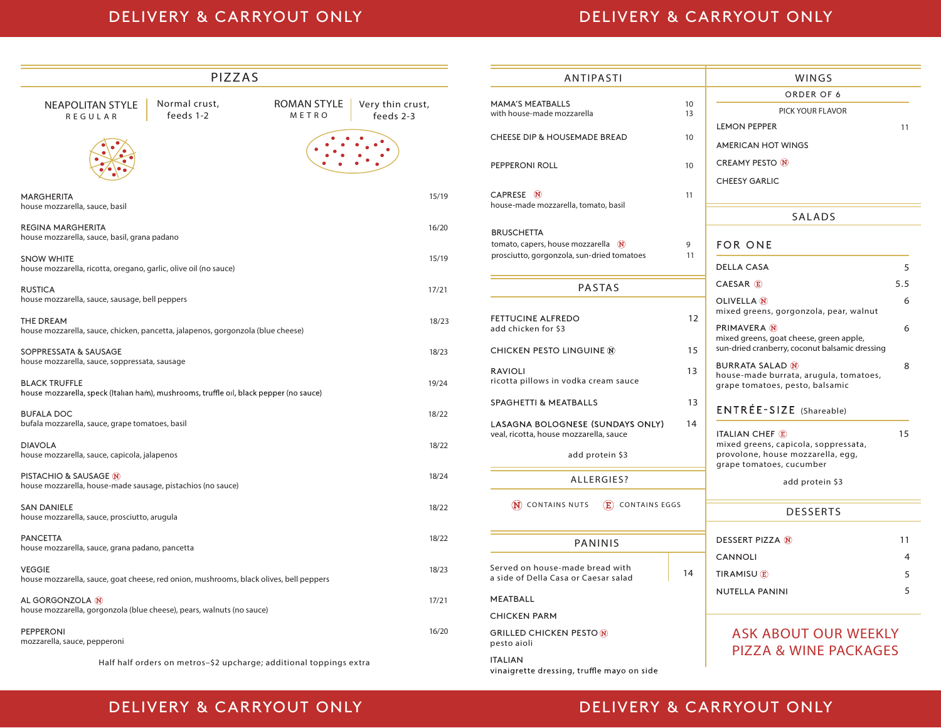## DELIVERY & CARRYOUT ONLY **DELIVERY & CARRYOUT ONLY**

| PIZZAS                                                                                                                    | <b>ANTIPASTI</b> |                                                                                                                              | WINGS    |                                                                                                       |                     |
|---------------------------------------------------------------------------------------------------------------------------|------------------|------------------------------------------------------------------------------------------------------------------------------|----------|-------------------------------------------------------------------------------------------------------|---------------------|
| ROMAN STYLE<br>Very thin crust,<br>Normal crust,<br><b>NEAPOLITAN STYLE</b><br>feeds 1-2<br>METRO<br>feeds 2-3<br>REGULAR |                  | <b>MAMA'S MEATBALLS</b><br>with house-made mozzarella                                                                        | 10<br>13 | ORDER OF 6<br>PICK YOUR FLAVOR<br><b>LEMON PEPPER</b>                                                 | 11                  |
|                                                                                                                           |                  | <b>CHEESE DIP &amp; HOUSEMADE BREAD</b>                                                                                      | 10       | <b>AMERICAN HOT WINGS</b>                                                                             |                     |
|                                                                                                                           |                  | PEPPERONI ROLL                                                                                                               | 10       | <b>CREAMY PESTO (N)</b><br><b>CHEESY GARLIC</b>                                                       |                     |
| <b>MARGHERITA</b><br>house mozzarella, sauce, basil                                                                       | 15/19            | CAPRESE N<br>house-made mozzarella, tomato, basil                                                                            | 11       |                                                                                                       |                     |
|                                                                                                                           |                  |                                                                                                                              |          | <b>SALADS</b>                                                                                         |                     |
| REGINA MARGHERITA<br>house mozzarella, sauce, basil, grana padano                                                         | 16/20            | <b>BRUSCHETTA</b><br>tomato, capers, house mozzarella $\widehat{N}$<br>9<br>prosciutto, gorgonzola, sun-dried tomatoes<br>11 |          | <b>FOR ONE</b>                                                                                        |                     |
| <b>SNOW WHITE</b><br>house mozzarella, ricotta, oregano, garlic, olive oil (no sauce)                                     | 15/19            |                                                                                                                              |          | <b>DELLA CASA</b>                                                                                     | 5                   |
| <b>RUSTICA</b>                                                                                                            | 17/21            | PASTAS                                                                                                                       |          | CAESAR <sup>(E)</sup>                                                                                 | 5.5                 |
| house mozzarella, sauce, sausage, bell peppers                                                                            |                  |                                                                                                                              | 12       | OLIVELLA <sup>(N</sup><br>mixed greens, gorgonzola, pear, walnut                                      | 6                   |
| <b>THE DREAM</b><br>house mozzarella, sauce, chicken, pancetta, jalapenos, gorgonzola (blue cheese)                       | 18/23            | <b>FETTUCINE ALFREDO</b><br>add chicken for \$3                                                                              |          | <b>PRIMAVERA</b> N<br>mixed greens, goat cheese, green apple,                                         | 6                   |
| SOPPRESSATA & SAUSAGE<br>house mozzarella, sauce, soppressata, sausage                                                    | 18/23            | <b>CHICKEN PESTO LINGUINE ®</b>                                                                                              | 15       | sun-dried cranberry, coconut balsamic dressing                                                        |                     |
| <b>BLACK TRUFFLE</b><br>house mozzarella, speck (Italian ham), mushrooms, truffle oil, black pepper (no sauce)            | 19/24            | <b>RAVIOLI</b><br>ricotta pillows in vodka cream sauce                                                                       | 13       | <b>BURRATA SALAD N</b><br>house-made burrata, arugula, tomatoes,<br>grape tomatoes, pesto, balsamic   | 8                   |
|                                                                                                                           |                  | <b>SPAGHETTI &amp; MEATBALLS</b>                                                                                             | 13       | ENTRÉE-SIZE (Shareable)                                                                               |                     |
| <b>BUFALA DOC</b><br>bufala mozzarella, sauce, grape tomatoes, basil                                                      | 18/22            | LASAGNA BOLOGNESE (SUNDAYS ONLY)<br>veal, ricotta, house mozzarella, sauce                                                   | 14       | <b>ITALIAN CHEF E</b>                                                                                 | 15                  |
| <b>DIAVOLA</b><br>house mozzarella, sauce, capicola, jalapenos                                                            | 18/22            | add protein \$3                                                                                                              |          | mixed greens, capicola, soppressata,<br>provolone, house mozzarella, egg,<br>grape tomatoes, cucumber |                     |
| PISTACHIO & SAUSAGE IN<br>house mozzarella, house-made sausage, pistachios (no sauce)                                     | 18/24            | ALLERGIES?                                                                                                                   |          | add protein \$3                                                                                       |                     |
| <b>SAN DANIELE</b><br>house mozzarella, sauce, prosciutto, arugula                                                        | 18/22            | (E) CONTAINS EGGS<br>$(\hat{\mathbf{N}})$ CONTAINS NUTS                                                                      |          | <b>DESSERTS</b>                                                                                       |                     |
| <b>PANCETTA</b><br>house mozzarella, sauce, grana padano, pancetta                                                        | 18/22            | <b>PANINIS</b>                                                                                                               |          | <b>DESSERT PIZZA N</b>                                                                                | 11                  |
| <b>VEGGIE</b><br>house mozzarella, sauce, goat cheese, red onion, mushrooms, black olives, bell peppers                   | 18/23            | Served on house-made bread with<br>a side of Della Casa or Caesar salad                                                      | 14       | CANNOLI<br>TIRAMISU <sup>®</sup>                                                                      | $\overline{4}$<br>5 |
| AL GORGONZOLA N                                                                                                           | 17/21            | MEATBALL                                                                                                                     |          | NUTELLA PANINI                                                                                        | 5                   |
| house mozzarella, gorgonzola (blue cheese), pears, walnuts (no sauce)                                                     |                  | <b>CHICKEN PARM</b>                                                                                                          |          |                                                                                                       |                     |
| <b>PEPPERONI</b><br>mozzarella, sauce, pepperoni                                                                          | 16/20            | <b>GRILLED CHICKEN PESTO N</b><br>pesto aioli                                                                                |          | <b>ASK ABOUT OUR WEEKLY</b><br><b>PIZZA &amp; WINE PACKAGES</b>                                       |                     |
| Half half orders on metros-\$2 upcharge; additional toppings extra                                                        |                  | <b>ITALIAN</b><br>vinaigrette dressing truffle mayo on side                                                                  |          |                                                                                                       |                     |

### DELIVERY & CARRYOUT ONLY **DELIVERY & CARRYOUT ONLY**